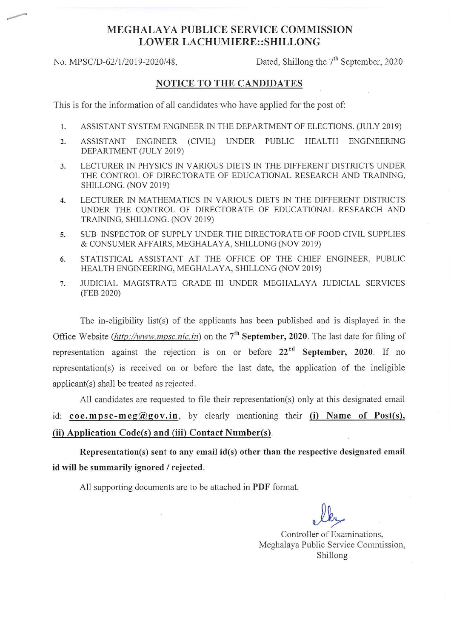## MEGHALAYA PUBLICE SERVICE COMMISSION LOWER LACHUMIERE: :SHILLONG

No. MPSC/D-62/1/2019-2020/48,

Dated, Shillong the  $7<sup>th</sup>$  September, 2020

## NOTICE TO THE CANDIDATES

This is for the information of all candidates who have applied for the post of:

- I. ASSISTANT SYSTEM ENGINEER IN THE DEPARTMENT OF ELECTIONS. (JULY 2019)
- 2. ASSISTANT ENGINEER (CIVIL) UNDER PUBLIC HEALTH ENGINEERING DEPARTMENT (JULY 2019)
- 3. LECTURER IN PHYSICS IN V ARJOUS DIETS IN THE DIFFERENT DISTRICTS UNDER THE CONTROL OF DIRECTORATE OF EDUCATIONAL RESEARCH AND TRAINING, SHILLONG. (NOV 2019)
- 4. LECTURER IN MATHEMATICS IN VARIOUS DIETS IN THE DIFFERENT DISTRICTS UNDER THE CONTROL OF DIRECTORATE OF EDUCATIONAL RESEARCH AND TRAINING, SHILLONG. (NOV 2019)
- 5. SUB-INSPECTOR OF SUPPLY UNDER THE DIRECTORATE OF FOOD CIVIL SUPPLIES & CONSUMER AFFAIRS, MEGHALAYA, SHILLONG (NOV 2019)
- 6. STATISTICAL ASSISTANT AT THE OFFICE OF THE CHIEF ENGINEER, PUBLIC HEALTH ENGINEERING, MEGHALAYA, SHILLONG (NOV 2019)
- 7. JUDICIAL MAGISTRATE GRADE-III UNDER MEGHALAYA JUDICIAL SERVICES (FEB 2020)

The in-eligibility list(s) of the applicants has been published and is displayed in the Office Website *(http://www.mpsc.nic.in)* on the 7<sup>th</sup> September, 2020. The last date for filing of representation against the rejection is on or before  $22<sup>rd</sup>$  September, 2020. If no representation(s) is received on or before the last date, the application of the ineligible applicant(s) shall be treated as rejected.

All candidates are requested to file their representation(s) only at this designated email id:  $\text{coe.mpsc-meg}(\partial \text{gov.in}, \text{by clearly mentioning their (i)}$  Name of Post(s), (ii) Application Code(s) and (iii) Contact Number(s).

Representation(s) sent to any email id(s) other than the respective designated email id will be summarily ignored *I* rejected.

All supporting documents are to be attached in PDF format.

Controller of Examinations, Meghalaya Public Service Commission, Shillong